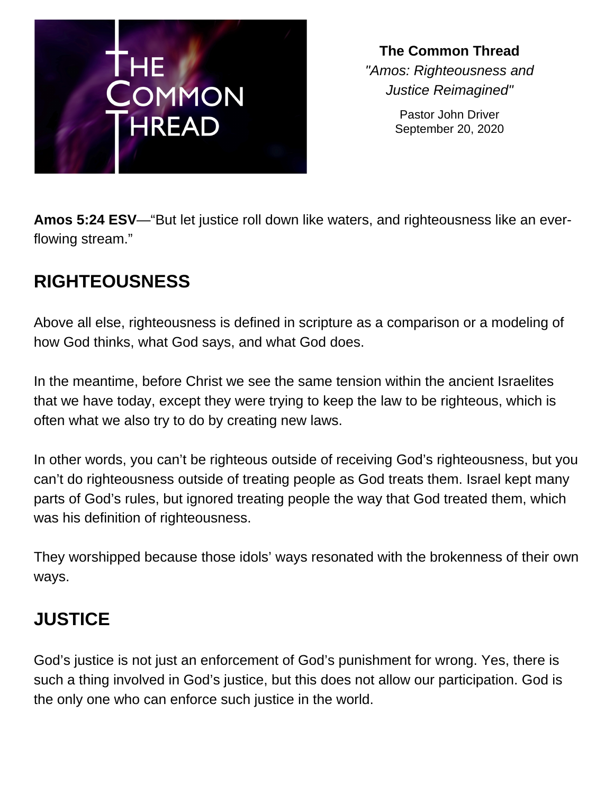

**The Common Thread** *"Amos: Righteousness and Justice Reimagined"*

> Pastor John Driver September 20, 2020

**Amos 5:24 ESV**—"But let justice roll down like waters, and righteousness like an everflowing stream."

## **RIGHTEOUSNESS**

Above all else, righteousness is defined in scripture as a comparison or a modeling of how God thinks, what God says, and what God does.

In the meantime, before Christ we see the same tension within the ancient Israelites that we have today, except they were trying to keep the law to be righteous, which is often what we also try to do by creating new laws.

In other words, you can't be righteous outside of receiving God's righteousness, but you can't do righteousness outside of treating people as God treats them. Israel kept many parts of God's rules, but ignored treating people the way that God treated them, which was his definition of righteousness.

They worshipped because those idols' ways resonated with the brokenness of their own ways.

## **JUSTICE**

God's justice is not just an enforcement of God's punishment for wrong. Yes, there is such a thing involved in God's justice, but this does not allow our participation. God is the only one who can enforce such justice in the world.